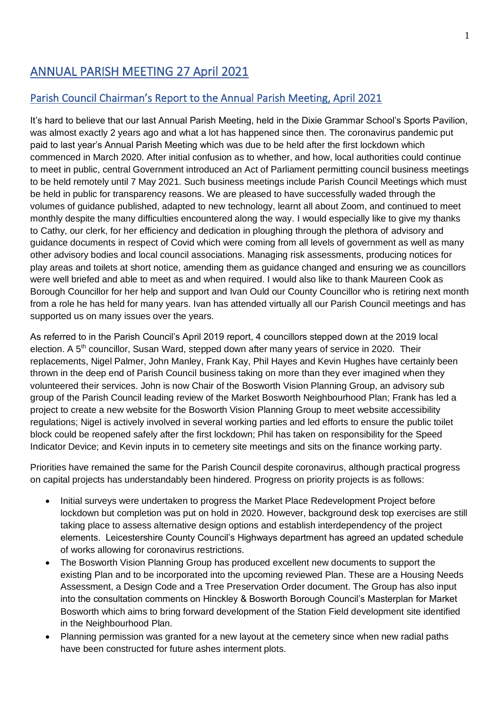# ANNUAL PARISH MEETING 27 April 2021

## Parish Council Chairman's Report to the Annual Parish Meeting, April 2021

It's hard to believe that our last Annual Parish Meeting, held in the Dixie Grammar School's Sports Pavilion, was almost exactly 2 years ago and what a lot has happened since then. The coronavirus pandemic put paid to last year's Annual Parish Meeting which was due to be held after the first lockdown which commenced in March 2020. After initial confusion as to whether, and how, local authorities could continue to meet in public, central Government introduced an Act of Parliament permitting council business meetings to be held remotely until 7 May 2021. Such business meetings include Parish Council Meetings which must be held in public for transparency reasons. We are pleased to have successfully waded through the volumes of guidance published, adapted to new technology, learnt all about Zoom, and continued to meet monthly despite the many difficulties encountered along the way. I would especially like to give my thanks to Cathy, our clerk, for her efficiency and dedication in ploughing through the plethora of advisory and guidance documents in respect of Covid which were coming from all levels of government as well as many other advisory bodies and local council associations. Managing risk assessments, producing notices for play areas and toilets at short notice, amending them as guidance changed and ensuring we as councillors were well briefed and able to meet as and when required. I would also like to thank Maureen Cook as Borough Councillor for her help and support and Ivan Ould our County Councillor who is retiring next month from a role he has held for many years. Ivan has attended virtually all our Parish Council meetings and has supported us on many issues over the years.

As referred to in the Parish Council's April 2019 report, 4 councillors stepped down at the 2019 local election. A 5<sup>th</sup> councillor, Susan Ward, stepped down after many years of service in 2020. Their replacements, Nigel Palmer, John Manley, Frank Kay, Phil Hayes and Kevin Hughes have certainly been thrown in the deep end of Parish Council business taking on more than they ever imagined when they volunteered their services. John is now Chair of the Bosworth Vision Planning Group, an advisory sub group of the Parish Council leading review of the Market Bosworth Neighbourhood Plan; Frank has led a project to create a new website for the Bosworth Vision Planning Group to meet website accessibility regulations; Nigel is actively involved in several working parties and led efforts to ensure the public toilet block could be reopened safely after the first lockdown; Phil has taken on responsibility for the Speed Indicator Device; and Kevin inputs in to cemetery site meetings and sits on the finance working party.

Priorities have remained the same for the Parish Council despite coronavirus, although practical progress on capital projects has understandably been hindered. Progress on priority projects is as follows:

- Initial surveys were undertaken to progress the Market Place Redevelopment Project before lockdown but completion was put on hold in 2020. However, background desk top exercises are still taking place to assess alternative design options and establish interdependency of the project elements. Leicestershire County Council's Highways department has agreed an updated schedule of works allowing for coronavirus restrictions.
- The Bosworth Vision Planning Group has produced excellent new documents to support the existing Plan and to be incorporated into the upcoming reviewed Plan. These are a Housing Needs Assessment, a Design Code and a Tree Preservation Order document. The Group has also input into the consultation comments on Hinckley & Bosworth Borough Council's Masterplan for Market Bosworth which aims to bring forward development of the Station Field development site identified in the Neighbourhood Plan.
- Planning permission was granted for a new layout at the cemetery since when new radial paths have been constructed for future ashes interment plots.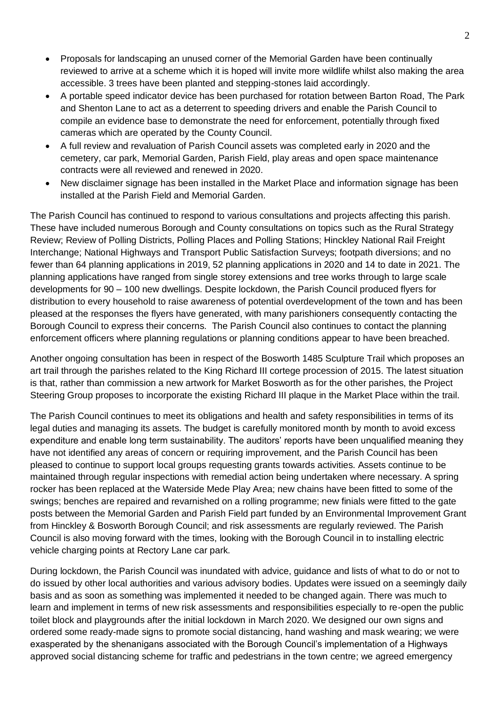- Proposals for landscaping an unused corner of the Memorial Garden have been continually reviewed to arrive at a scheme which it is hoped will invite more wildlife whilst also making the area accessible. 3 trees have been planted and stepping-stones laid accordingly.
- A portable speed indicator device has been purchased for rotation between Barton Road, The Park and Shenton Lane to act as a deterrent to speeding drivers and enable the Parish Council to compile an evidence base to demonstrate the need for enforcement, potentially through fixed cameras which are operated by the County Council.
- A full review and revaluation of Parish Council assets was completed early in 2020 and the cemetery, car park, Memorial Garden, Parish Field, play areas and open space maintenance contracts were all reviewed and renewed in 2020.
- New disclaimer signage has been installed in the Market Place and information signage has been installed at the Parish Field and Memorial Garden.

The Parish Council has continued to respond to various consultations and projects affecting this parish. These have included numerous Borough and County consultations on topics such as the Rural Strategy Review; Review of Polling Districts, Polling Places and Polling Stations; Hinckley National Rail Freight Interchange; National Highways and Transport Public Satisfaction Surveys; footpath diversions; and no fewer than 64 planning applications in 2019, 52 planning applications in 2020 and 14 to date in 2021. The planning applications have ranged from single storey extensions and tree works through to large scale developments for 90 – 100 new dwellings. Despite lockdown, the Parish Council produced flyers for distribution to every household to raise awareness of potential overdevelopment of the town and has been pleased at the responses the flyers have generated, with many parishioners consequently contacting the Borough Council to express their concerns. The Parish Council also continues to contact the planning enforcement officers where planning regulations or planning conditions appear to have been breached.

Another ongoing consultation has been in respect of the Bosworth 1485 Sculpture Trail which proposes an art trail through the parishes related to the King Richard III cortege procession of 2015. The latest situation is that, rather than commission a new artwork for Market Bosworth as for the other parishes, the Project Steering Group proposes to incorporate the existing Richard III plaque in the Market Place within the trail.

The Parish Council continues to meet its obligations and health and safety responsibilities in terms of its legal duties and managing its assets. The budget is carefully monitored month by month to avoid excess expenditure and enable long term sustainability. The auditors' reports have been unqualified meaning they have not identified any areas of concern or requiring improvement, and the Parish Council has been pleased to continue to support local groups requesting grants towards activities. Assets continue to be maintained through regular inspections with remedial action being undertaken where necessary. A spring rocker has been replaced at the Waterside Mede Play Area; new chains have been fitted to some of the swings; benches are repaired and revarnished on a rolling programme; new finials were fitted to the gate posts between the Memorial Garden and Parish Field part funded by an Environmental Improvement Grant from Hinckley & Bosworth Borough Council; and risk assessments are regularly reviewed. The Parish Council is also moving forward with the times, looking with the Borough Council in to installing electric vehicle charging points at Rectory Lane car park.

During lockdown, the Parish Council was inundated with advice, guidance and lists of what to do or not to do issued by other local authorities and various advisory bodies. Updates were issued on a seemingly daily basis and as soon as something was implemented it needed to be changed again. There was much to learn and implement in terms of new risk assessments and responsibilities especially to re-open the public toilet block and playgrounds after the initial lockdown in March 2020. We designed our own signs and ordered some ready-made signs to promote social distancing, hand washing and mask wearing; we were exasperated by the shenanigans associated with the Borough Council's implementation of a Highways approved social distancing scheme for traffic and pedestrians in the town centre; we agreed emergency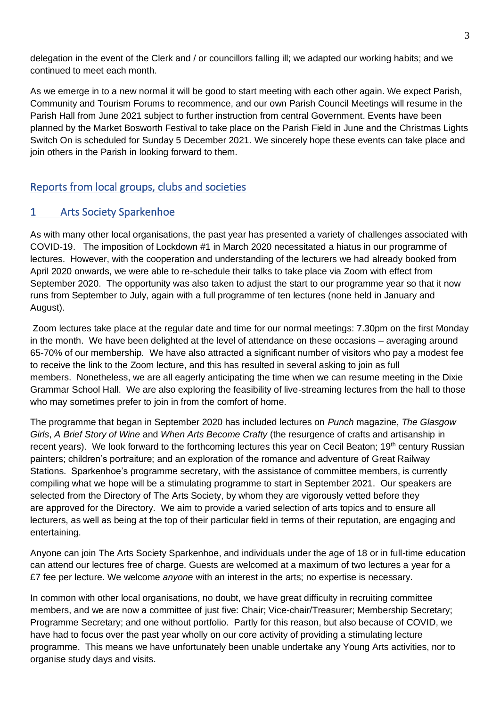delegation in the event of the Clerk and / or councillors falling ill; we adapted our working habits; and we continued to meet each month.

As we emerge in to a new normal it will be good to start meeting with each other again. We expect Parish, Community and Tourism Forums to recommence, and our own Parish Council Meetings will resume in the Parish Hall from June 2021 subject to further instruction from central Government. Events have been planned by the Market Bosworth Festival to take place on the Parish Field in June and the Christmas Lights Switch On is scheduled for Sunday 5 December 2021. We sincerely hope these events can take place and join others in the Parish in looking forward to them.

## Reports from local groups, clubs and societies

## 1 Arts Society Sparkenhoe

As with many other local organisations, the past year has presented a variety of challenges associated with COVID-19. The imposition of Lockdown #1 in March 2020 necessitated a hiatus in our programme of lectures. However, with the cooperation and understanding of the lecturers we had already booked from April 2020 onwards, we were able to re-schedule their talks to take place via Zoom with effect from September 2020. The opportunity was also taken to adjust the start to our programme year so that it now runs from September to July, again with a full programme of ten lectures (none held in January and August).

Zoom lectures take place at the regular date and time for our normal meetings: 7.30pm on the first Monday in the month. We have been delighted at the level of attendance on these occasions – averaging around 65-70% of our membership. We have also attracted a significant number of visitors who pay a modest fee to receive the link to the Zoom lecture, and this has resulted in several asking to join as full members. Nonetheless, we are all eagerly anticipating the time when we can resume meeting in the Dixie Grammar School Hall. We are also exploring the feasibility of live-streaming lectures from the hall to those who may sometimes prefer to join in from the comfort of home.

The programme that began in September 2020 has included lectures on *Punch* magazine, *The Glasgow Girls*, *A Brief Story of Wine* and *When Arts Become Crafty* (the resurgence of crafts and artisanship in recent years). We look forward to the forthcoming lectures this year on Cecil Beaton; 19<sup>th</sup> century Russian painters; children's portraiture; and an exploration of the romance and adventure of Great Railway Stations. Sparkenhoe's programme secretary, with the assistance of committee members, is currently compiling what we hope will be a stimulating programme to start in September 2021. Our speakers are selected from the Directory of The Arts Society, by whom they are vigorously vetted before they are approved for the Directory. We aim to provide a varied selection of arts topics and to ensure all lecturers, as well as being at the top of their particular field in terms of their reputation, are engaging and entertaining.

Anyone can join The Arts Society Sparkenhoe, and individuals under the age of 18 or in full-time education can attend our lectures free of charge. Guests are welcomed at a maximum of two lectures a year for a £7 fee per lecture. We welcome *anyone* with an interest in the arts; no expertise is necessary.

In common with other local organisations, no doubt, we have great difficulty in recruiting committee members, and we are now a committee of just five: Chair; Vice-chair/Treasurer; Membership Secretary; Programme Secretary; and one without portfolio. Partly for this reason, but also because of COVID, we have had to focus over the past year wholly on our core activity of providing a stimulating lecture programme. This means we have unfortunately been unable undertake any Young Arts activities, nor to organise study days and visits.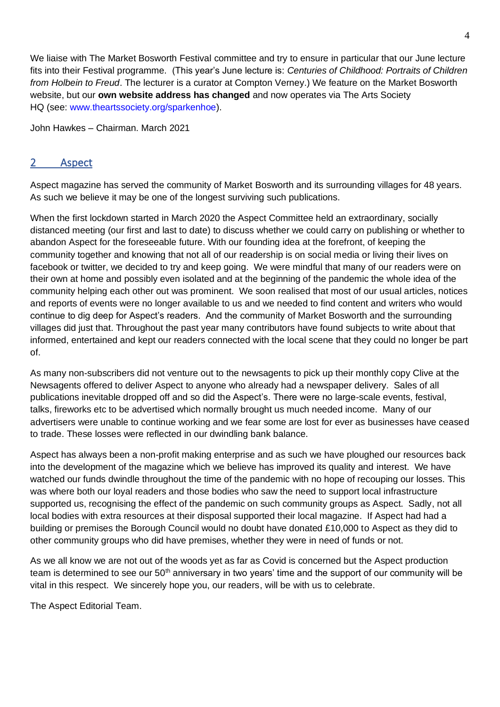We liaise with The Market Bosworth Festival committee and try to ensure in particular that our June lecture fits into their Festival programme. (This year's June lecture is: *Centuries of Childhood: Portraits of Children from Holbein to Freud*. The lecturer is a curator at Compton Verney.) We feature on the Market Bosworth website, but our **own website address has changed** and now operates via The Arts Society HQ (see: [www.theartssociety.org/sparkenhoe\)](http://www.theartssociety.org/sparkenhoe).

John Hawkes – Chairman. March 2021

## 2 Aspect

Aspect magazine has served the community of Market Bosworth and its surrounding villages for 48 years. As such we believe it may be one of the longest surviving such publications.

When the first lockdown started in March 2020 the Aspect Committee held an extraordinary, socially distanced meeting (our first and last to date) to discuss whether we could carry on publishing or whether to abandon Aspect for the foreseeable future. With our founding idea at the forefront, of keeping the community together and knowing that not all of our readership is on social media or living their lives on facebook or twitter, we decided to try and keep going. We were mindful that many of our readers were on their own at home and possibly even isolated and at the beginning of the pandemic the whole idea of the community helping each other out was prominent. We soon realised that most of our usual articles, notices and reports of events were no longer available to us and we needed to find content and writers who would continue to dig deep for Aspect's readers. And the community of Market Bosworth and the surrounding villages did just that. Throughout the past year many contributors have found subjects to write about that informed, entertained and kept our readers connected with the local scene that they could no longer be part of.

As many non-subscribers did not venture out to the newsagents to pick up their monthly copy Clive at the Newsagents offered to deliver Aspect to anyone who already had a newspaper delivery. Sales of all publications inevitable dropped off and so did the Aspect's. There were no large-scale events, festival, talks, fireworks etc to be advertised which normally brought us much needed income. Many of our advertisers were unable to continue working and we fear some are lost for ever as businesses have ceased to trade. These losses were reflected in our dwindling bank balance.

Aspect has always been a non-profit making enterprise and as such we have ploughed our resources back into the development of the magazine which we believe has improved its quality and interest. We have watched our funds dwindle throughout the time of the pandemic with no hope of recouping our losses. This was where both our loyal readers and those bodies who saw the need to support local infrastructure supported us, recognising the effect of the pandemic on such community groups as Aspect. Sadly, not all local bodies with extra resources at their disposal supported their local magazine. If Aspect had had a building or premises the Borough Council would no doubt have donated £10,000 to Aspect as they did to other community groups who did have premises, whether they were in need of funds or not.

As we all know we are not out of the woods yet as far as Covid is concerned but the Aspect production team is determined to see our  $50<sup>th</sup>$  anniversary in two years' time and the support of our community will be vital in this respect. We sincerely hope you, our readers, will be with us to celebrate.

The Aspect Editorial Team.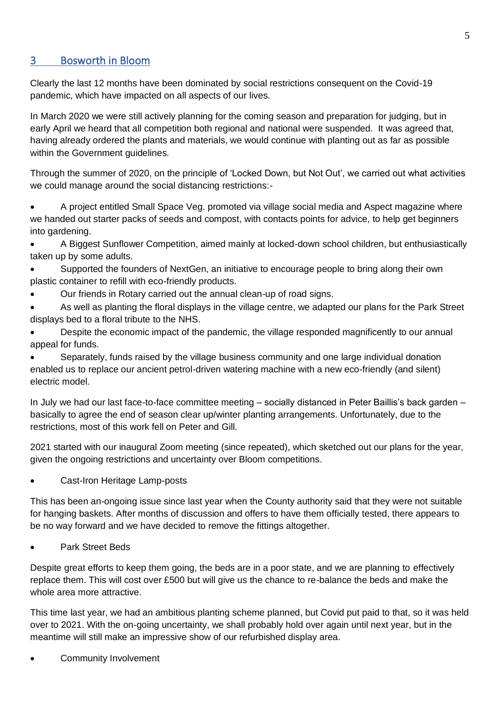## 3 Bosworth in Bloom

Clearly the last 12 months have been dominated by social restrictions consequent on the Covid-19 pandemic, which have impacted on all aspects of our lives.

In March 2020 we were still actively planning for the coming season and preparation for judging, but in early April we heard that all competition both regional and national were suspended. It was agreed that, having already ordered the plants and materials, we would continue with planting out as far as possible within the Government guidelines.

Through the summer of 2020, on the principle of 'Locked Down, but Not Out', we carried out what activities we could manage around the social distancing restrictions:-

• A project entitled Small Space Veg. promoted via village social media and Aspect magazine where we handed out starter packs of seeds and compost, with contacts points for advice, to help get beginners into gardening.

• A Biggest Sunflower Competition, aimed mainly at locked-down school children, but enthusiastically taken up by some adults.

- Supported the founders of NextGen, an initiative to encourage people to bring along their own plastic container to refill with eco-friendly products.
- Our friends in Rotary carried out the annual clean-up of road signs.

• As well as planting the floral displays in the village centre, we adapted our plans for the Park Street displays bed to a floral tribute to the NHS.

• Despite the economic impact of the pandemic, the village responded magnificently to our annual appeal for funds.

• Separately, funds raised by the village business community and one large individual donation enabled us to replace our ancient petrol-driven watering machine with a new eco-friendly (and silent) electric model.

In July we had our last face-to-face committee meeting – socially distanced in Peter Baillis's back garden – basically to agree the end of season clear up/winter planting arrangements. Unfortunately, due to the restrictions, most of this work fell on Peter and Gill.

2021 started with our inaugural Zoom meeting (since repeated), which sketched out our plans for the year, given the ongoing restrictions and uncertainty over Bloom competitions.

• Cast-Iron Heritage Lamp-posts

This has been an-ongoing issue since last year when the County authority said that they were not suitable for hanging baskets. After months of discussion and offers to have them officially tested, there appears to be no way forward and we have decided to remove the fittings altogether.

• Park Street Beds

Despite great efforts to keep them going, the beds are in a poor state, and we are planning to effectively replace them. This will cost over £500 but will give us the chance to re-balance the beds and make the whole area more attractive.

This time last year, we had an ambitious planting scheme planned, but Covid put paid to that, so it was held over to 2021. With the on-going uncertainty, we shall probably hold over again until next year, but in the meantime will still make an impressive show of our refurbished display area.

Community Involvement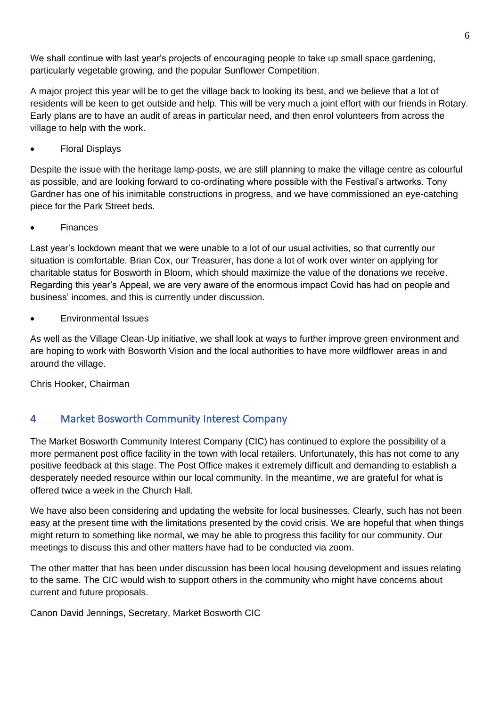We shall continue with last year's projects of encouraging people to take up small space gardening, particularly vegetable growing, and the popular Sunflower Competition.

A major project this year will be to get the village back to looking its best, and we believe that a lot of residents will be keen to get outside and help. This will be very much a joint effort with our friends in Rotary. Early plans are to have an audit of areas in particular need, and then enrol volunteers from across the village to help with the work.

• Floral Displays

Despite the issue with the heritage lamp-posts, we are still planning to make the village centre as colourful as possible, and are looking forward to co-ordinating where possible with the Festival's artworks. Tony Gardner has one of his inimitable constructions in progress, and we have commissioned an eye-catching piece for the Park Street beds.

**Finances** 

Last year's lockdown meant that we were unable to a lot of our usual activities, so that currently our situation is comfortable. Brian Cox, our Treasurer, has done a lot of work over winter on applying for charitable status for Bosworth in Bloom, which should maximize the value of the donations we receive. Regarding this year's Appeal, we are very aware of the enormous impact Covid has had on people and business' incomes, and this is currently under discussion.

• Environmental Issues

As well as the Village Clean-Up initiative, we shall look at ways to further improve green environment and are hoping to work with Bosworth Vision and the local authorities to have more wildflower areas in and around the village.

Chris Hooker, Chairman

## 4 Market Bosworth Community Interest Company

The Market Bosworth Community Interest Company (CIC) has continued to explore the possibility of a more permanent post office facility in the town with local retailers. Unfortunately, this has not come to any positive feedback at this stage. The Post Office makes it extremely difficult and demanding to establish a desperately needed resource within our local community. In the meantime, we are grateful for what is offered twice a week in the Church Hall.

We have also been considering and updating the website for local businesses. Clearly, such has not been easy at the present time with the limitations presented by the covid crisis. We are hopeful that when things might return to something like normal, we may be able to progress this facility for our community. Our meetings to discuss this and other matters have had to be conducted via zoom.

The other matter that has been under discussion has been local housing development and issues relating to the same. The CIC would wish to support others in the community who might have concerns about current and future proposals.

Canon David Jennings, Secretary, Market Bosworth CIC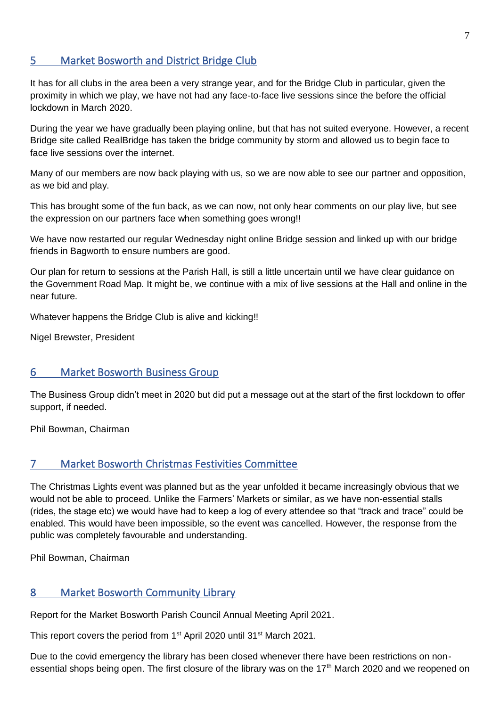#### 5 Market Bosworth and District Bridge Club

It has for all clubs in the area been a very strange year, and for the Bridge Club in particular, given the proximity in which we play, we have not had any face-to-face live sessions since the before the official lockdown in March 2020.

During the year we have gradually been playing online, but that has not suited everyone. However, a recent Bridge site called RealBridge has taken the bridge community by storm and allowed us to begin face to face live sessions over the internet.

Many of our members are now back playing with us, so we are now able to see our partner and opposition, as we bid and play.

This has brought some of the fun back, as we can now, not only hear comments on our play live, but see the expression on our partners face when something goes wrong!!

We have now restarted our regular Wednesday night online Bridge session and linked up with our bridge friends in Bagworth to ensure numbers are good.

Our plan for return to sessions at the Parish Hall, is still a little uncertain until we have clear guidance on the Government Road Map. It might be, we continue with a mix of live sessions at the Hall and online in the near future.

Whatever happens the Bridge Club is alive and kicking!!

Nigel Brewster, President

#### 6 Market Bosworth Business Group

The Business Group didn't meet in 2020 but did put a message out at the start of the first lockdown to offer support, if needed.

Phil Bowman, Chairman

#### 7 Market Bosworth Christmas Festivities Committee

The Christmas Lights event was planned but as the year unfolded it became increasingly obvious that we would not be able to proceed. Unlike the Farmers' Markets or similar, as we have non-essential stalls (rides, the stage etc) we would have had to keep a log of every attendee so that "track and trace" could be enabled. This would have been impossible, so the event was cancelled. However, the response from the public was completely favourable and understanding.

Phil Bowman, Chairman

#### 8 Market Bosworth Community Library

Report for the Market Bosworth Parish Council Annual Meeting April 2021.

This report covers the period from 1<sup>st</sup> April 2020 until 31<sup>st</sup> March 2021.

Due to the covid emergency the library has been closed whenever there have been restrictions on nonessential shops being open. The first closure of the library was on the 17<sup>th</sup> March 2020 and we reopened on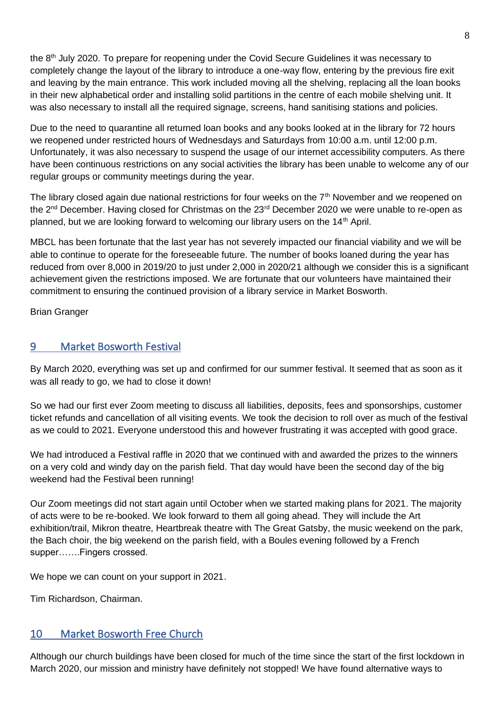the  $8<sup>th</sup>$  July 2020. To prepare for reopening under the Covid Secure Guidelines it was necessary to completely change the layout of the library to introduce a one-way flow, entering by the previous fire exit and leaving by the main entrance. This work included moving all the shelving, replacing all the loan books in their new alphabetical order and installing solid partitions in the centre of each mobile shelving unit. It was also necessary to install all the required signage, screens, hand sanitising stations and policies.

Due to the need to quarantine all returned loan books and any books looked at in the library for 72 hours we reopened under restricted hours of Wednesdays and Saturdays from 10:00 a.m. until 12:00 p.m. Unfortunately, it was also necessary to suspend the usage of our internet accessibility computers. As there have been continuous restrictions on any social activities the library has been unable to welcome any of our regular groups or community meetings during the year.

The library closed again due national restrictions for four weeks on the  $7<sup>th</sup>$  November and we reopened on the 2<sup>nd</sup> December. Having closed for Christmas on the 23<sup>rd</sup> December 2020 we were unable to re-open as planned, but we are looking forward to welcoming our library users on the  $14<sup>th</sup>$  April.

MBCL has been fortunate that the last year has not severely impacted our financial viability and we will be able to continue to operate for the foreseeable future. The number of books loaned during the year has reduced from over 8,000 in 2019/20 to just under 2,000 in 2020/21 although we consider this is a significant achievement given the restrictions imposed. We are fortunate that our volunteers have maintained their commitment to ensuring the continued provision of a library service in Market Bosworth.

Brian Granger

## 9 Market Bosworth Festival

By March 2020, everything was set up and confirmed for our summer festival. It seemed that as soon as it was all ready to go, we had to close it down!

So we had our first ever Zoom meeting to discuss all liabilities, deposits, fees and sponsorships, customer ticket refunds and cancellation of all visiting events. We took the decision to roll over as much of the festival as we could to 2021. Everyone understood this and however frustrating it was accepted with good grace.

We had introduced a Festival raffle in 2020 that we continued with and awarded the prizes to the winners on a very cold and windy day on the parish field. That day would have been the second day of the big weekend had the Festival been running!

Our Zoom meetings did not start again until October when we started making plans for 2021. The majority of acts were to be re-booked. We look forward to them all going ahead. They will include the Art exhibition/trail, Mikron theatre, Heartbreak theatre with The Great Gatsby, the music weekend on the park, the Bach choir, the big weekend on the parish field, with a Boules evening followed by a French supper…….Fingers crossed.

We hope we can count on your support in 2021.

Tim Richardson, Chairman.

#### 10 Market Bosworth Free Church

Although our church buildings have been closed for much of the time since the start of the first lockdown in March 2020, our mission and ministry have definitely not stopped! We have found alternative ways to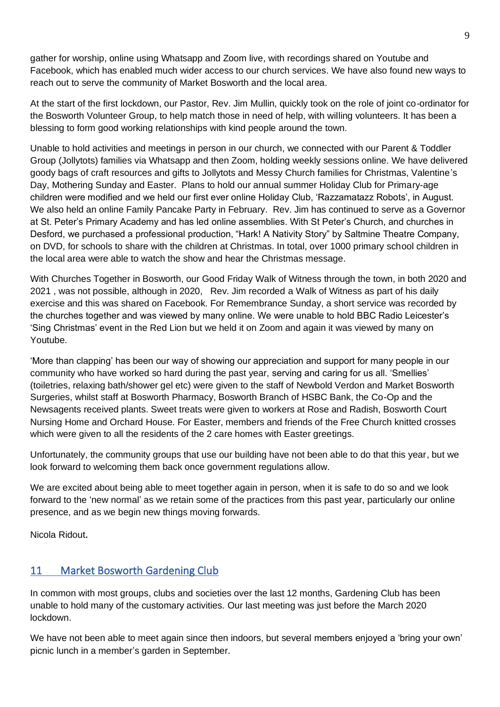gather for worship, online using Whatsapp and Zoom live, with recordings shared on Youtube and Facebook, which has enabled much wider access to our church services. We have also found new ways to reach out to serve the community of Market Bosworth and the local area.

At the start of the first lockdown, our Pastor, Rev. Jim Mullin, quickly took on the role of joint co-ordinator for the Bosworth Volunteer Group, to help match those in need of help, with willing volunteers. It has been a blessing to form good working relationships with kind people around the town.

Unable to hold activities and meetings in person in our church, we connected with our Parent & Toddler Group (Jollytots) families via Whatsapp and then Zoom, holding weekly sessions online. We have delivered goody bags of craft resources and gifts to Jollytots and Messy Church families for Christmas, Valentine's Day, Mothering Sunday and Easter. Plans to hold our annual summer Holiday Club for Primary-age children were modified and we held our first ever online Holiday Club, 'Razzamatazz Robots', in August. We also held an online Family Pancake Party in February. Rev. Jim has continued to serve as a Governor at St. Peter's Primary Academy and has led online assemblies. With St Peter's Church, and churches in Desford, we purchased a professional production, "Hark! A Nativity Story" by Saltmine Theatre Company, on DVD, for schools to share with the children at Christmas. In total, over 1000 primary school children in the local area were able to watch the show and hear the Christmas message.

With Churches Together in Bosworth, our Good Friday Walk of Witness through the town, in both 2020 and 2021 , was not possible, although in 2020, Rev. Jim recorded a Walk of Witness as part of his daily exercise and this was shared on Facebook. For Remembrance Sunday, a short service was recorded by the churches together and was viewed by many online. We were unable to hold BBC Radio Leicester's 'Sing Christmas' event in the Red Lion but we held it on Zoom and again it was viewed by many on Youtube.

'More than clapping' has been our way of showing our appreciation and support for many people in our community who have worked so hard during the past year, serving and caring for us all. 'Smellies' (toiletries, relaxing bath/shower gel etc) were given to the staff of Newbold Verdon and Market Bosworth Surgeries, whilst staff at Bosworth Pharmacy, Bosworth Branch of HSBC Bank, the Co-Op and the Newsagents received plants. Sweet treats were given to workers at Rose and Radish, Bosworth Court Nursing Home and Orchard House. For Easter, members and friends of the Free Church knitted crosses which were given to all the residents of the 2 care homes with Easter greetings.

Unfortunately, the community groups that use our building have not been able to do that this year, but we look forward to welcoming them back once government regulations allow.

We are excited about being able to meet together again in person, when it is safe to do so and we look forward to the 'new normal' as we retain some of the practices from this past year, particularly our online presence, and as we begin new things moving forwards.

Nicola Ridout.

## 11 Market Bosworth Gardening Club

In common with most groups, clubs and societies over the last 12 months, Gardening Club has been unable to hold many of the customary activities. Our last meeting was just before the March 2020 lockdown.

We have not been able to meet again since then indoors, but several members enjoyed a 'bring your own' picnic lunch in a member's garden in September.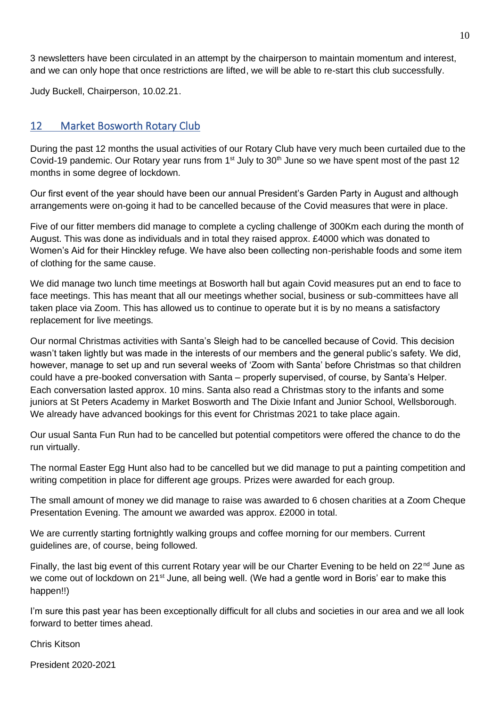3 newsletters have been circulated in an attempt by the chairperson to maintain momentum and interest, and we can only hope that once restrictions are lifted, we will be able to re-start this club successfully.

Judy Buckell, Chairperson, 10.02.21.

### 12 Market Bosworth Rotary Club

During the past 12 months the usual activities of our Rotary Club have very much been curtailed due to the Covid-19 pandemic. Our Rotary year runs from 1<sup>st</sup> July to 30<sup>th</sup> June so we have spent most of the past 12 months in some degree of lockdown.

Our first event of the year should have been our annual President's Garden Party in August and although arrangements were on-going it had to be cancelled because of the Covid measures that were in place.

Five of our fitter members did manage to complete a cycling challenge of 300Km each during the month of August. This was done as individuals and in total they raised approx. £4000 which was donated to Women's Aid for their Hinckley refuge. We have also been collecting non-perishable foods and some item of clothing for the same cause.

We did manage two lunch time meetings at Bosworth hall but again Covid measures put an end to face to face meetings. This has meant that all our meetings whether social, business or sub-committees have all taken place via Zoom. This has allowed us to continue to operate but it is by no means a satisfactory replacement for live meetings.

Our normal Christmas activities with Santa's Sleigh had to be cancelled because of Covid. This decision wasn't taken lightly but was made in the interests of our members and the general public's safety. We did, however, manage to set up and run several weeks of 'Zoom with Santa' before Christmas so that children could have a pre-booked conversation with Santa – properly supervised, of course, by Santa's Helper. Each conversation lasted approx. 10 mins. Santa also read a Christmas story to the infants and some juniors at St Peters Academy in Market Bosworth and The Dixie Infant and Junior School, Wellsborough. We already have advanced bookings for this event for Christmas 2021 to take place again.

Our usual Santa Fun Run had to be cancelled but potential competitors were offered the chance to do the run virtually.

The normal Easter Egg Hunt also had to be cancelled but we did manage to put a painting competition and writing competition in place for different age groups. Prizes were awarded for each group.

The small amount of money we did manage to raise was awarded to 6 chosen charities at a Zoom Cheque Presentation Evening. The amount we awarded was approx. £2000 in total.

We are currently starting fortnightly walking groups and coffee morning for our members. Current guidelines are, of course, being followed.

Finally, the last big event of this current Rotary year will be our Charter Evening to be held on 22<sup>nd</sup> June as we come out of lockdown on 21<sup>st</sup> June, all being well. (We had a gentle word in Boris' ear to make this happen!!)

I'm sure this past year has been exceptionally difficult for all clubs and societies in our area and we all look forward to better times ahead.

Chris Kitson

President 2020-2021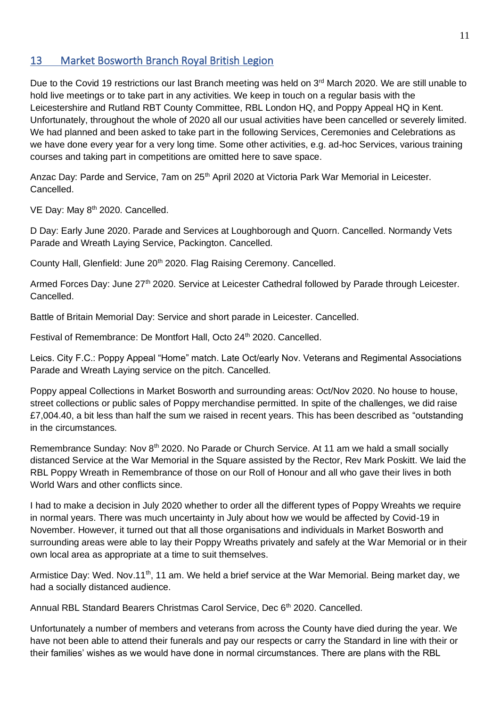## 13 Market Bosworth Branch Royal British Legion

Due to the Covid 19 restrictions our last Branch meeting was held on 3<sup>rd</sup> March 2020. We are still unable to hold live meetings or to take part in any activities. We keep in touch on a regular basis with the Leicestershire and Rutland RBT County Committee, RBL London HQ, and Poppy Appeal HQ in Kent. Unfortunately, throughout the whole of 2020 all our usual activities have been cancelled or severely limited. We had planned and been asked to take part in the following Services, Ceremonies and Celebrations as we have done every year for a very long time. Some other activities, e.g. ad-hoc Services, various training courses and taking part in competitions are omitted here to save space.

Anzac Day: Parde and Service, 7am on 25<sup>th</sup> April 2020 at Victoria Park War Memorial in Leicester. Cancelled.

VE Day: May 8<sup>th</sup> 2020. Cancelled.

D Day: Early June 2020. Parade and Services at Loughborough and Quorn. Cancelled. Normandy Vets Parade and Wreath Laying Service, Packington. Cancelled.

County Hall, Glenfield: June 20<sup>th</sup> 2020. Flag Raising Ceremony. Cancelled.

Armed Forces Day: June 27<sup>th</sup> 2020. Service at Leicester Cathedral followed by Parade through Leicester. Cancelled.

Battle of Britain Memorial Day: Service and short parade in Leicester. Cancelled.

Festival of Remembrance: De Montfort Hall, Octo 24<sup>th</sup> 2020. Cancelled.

Leics. City F.C.: Poppy Appeal "Home" match. Late Oct/early Nov. Veterans and Regimental Associations Parade and Wreath Laying service on the pitch. Cancelled.

Poppy appeal Collections in Market Bosworth and surrounding areas: Oct/Nov 2020. No house to house, street collections or public sales of Poppy merchandise permitted. In spite of the challenges, we did raise £7,004.40, a bit less than half the sum we raised in recent years. This has been described as "outstanding in the circumstances.

Remembrance Sunday: Nov 8th 2020. No Parade or Church Service. At 11 am we hald a small socially distanced Service at the War Memorial in the Square assisted by the Rector, Rev Mark Poskitt. We laid the RBL Poppy Wreath in Remembrance of those on our Roll of Honour and all who gave their lives in both World Wars and other conflicts since.

I had to make a decision in July 2020 whether to order all the different types of Poppy Wreahts we require in normal years. There was much uncertainty in July about how we would be affected by Covid-19 in November. However, it turned out that all those organisations and individuals in Market Bosworth and surrounding areas were able to lay their Poppy Wreaths privately and safely at the War Memorial or in their own local area as appropriate at a time to suit themselves.

Armistice Day: Wed. Nov.11<sup>th</sup>, 11 am. We held a brief service at the War Memorial. Being market day, we had a socially distanced audience.

Annual RBL Standard Bearers Christmas Carol Service, Dec 6<sup>th</sup> 2020. Cancelled.

Unfortunately a number of members and veterans from across the County have died during the year. We have not been able to attend their funerals and pay our respects or carry the Standard in line with their or their families' wishes as we would have done in normal circumstances. There are plans with the RBL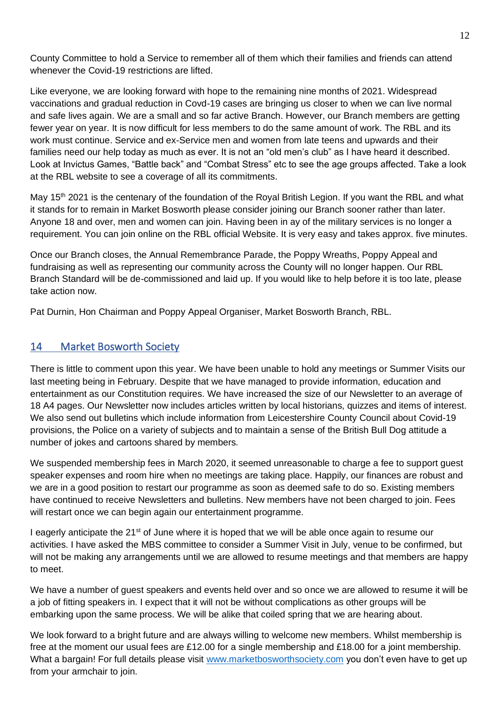County Committee to hold a Service to remember all of them which their families and friends can attend whenever the Covid-19 restrictions are lifted.

Like everyone, we are looking forward with hope to the remaining nine months of 2021. Widespread vaccinations and gradual reduction in Covd-19 cases are bringing us closer to when we can live normal and safe lives again. We are a small and so far active Branch. However, our Branch members are getting fewer year on year. It is now difficult for less members to do the same amount of work. The RBL and its work must continue. Service and ex-Service men and women from late teens and upwards and their families need our help today as much as ever. It is not an "old men's club" as I have heard it described. Look at Invictus Games, "Battle back" and "Combat Stress" etc to see the age groups affected. Take a look at the RBL website to see a coverage of all its commitments.

May 15<sup>th</sup> 2021 is the centenary of the foundation of the Royal British Legion. If you want the RBL and what it stands for to remain in Market Bosworth please consider joining our Branch sooner rather than later. Anyone 18 and over, men and women can join. Having been in ay of the military services is no longer a requirement. You can join online on the RBL official Website. It is very easy and takes approx. five minutes.

Once our Branch closes, the Annual Remembrance Parade, the Poppy Wreaths, Poppy Appeal and fundraising as well as representing our community across the County will no longer happen. Our RBL Branch Standard will be de-commissioned and laid up. If you would like to help before it is too late, please take action now.

Pat Durnin, Hon Chairman and Poppy Appeal Organiser, Market Bosworth Branch, RBL.

#### 14 Market Bosworth Society

There is little to comment upon this year. We have been unable to hold any meetings or Summer Visits our last meeting being in February. Despite that we have managed to provide information, education and entertainment as our Constitution requires. We have increased the size of our Newsletter to an average of 18 A4 pages. Our Newsletter now includes articles written by local historians, quizzes and items of interest. We also send out bulletins which include information from Leicestershire County Council about Covid-19 provisions, the Police on a variety of subjects and to maintain a sense of the British Bull Dog attitude a number of jokes and cartoons shared by members.

We suspended membership fees in March 2020, it seemed unreasonable to charge a fee to support guest speaker expenses and room hire when no meetings are taking place. Happily, our finances are robust and we are in a good position to restart our programme as soon as deemed safe to do so. Existing members have continued to receive Newsletters and bulletins. New members have not been charged to join. Fees will restart once we can begin again our entertainment programme.

I eagerly anticipate the  $21<sup>st</sup>$  of June where it is hoped that we will be able once again to resume our activities. I have asked the MBS committee to consider a Summer Visit in July, venue to be confirmed, but will not be making any arrangements until we are allowed to resume meetings and that members are happy to meet.

We have a number of guest speakers and events held over and so once we are allowed to resume it will be a job of fitting speakers in. I expect that it will not be without complications as other groups will be embarking upon the same process. We will be alike that coiled spring that we are hearing about.

We look forward to a bright future and are always willing to welcome new members. Whilst membership is free at the moment our usual fees are £12.00 for a single membership and £18.00 for a joint membership. What a bargain! For full details please visit [www.marketbosworthsociety.com](http://www.marketbosworthsociety.com/) you don't even have to get up from your armchair to join.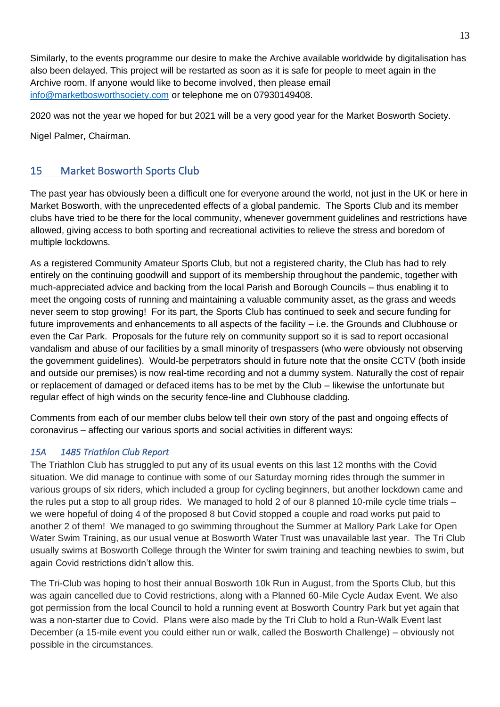Similarly, to the events programme our desire to make the Archive available worldwide by digitalisation has also been delayed. This project will be restarted as soon as it is safe for people to meet again in the Archive room. If anyone would like to become involved, then please email [info@marketbosworthsociety.com](mailto:info@marketbosworthsociety.com) or telephone me on 07930149408.

2020 was not the year we hoped for but 2021 will be a very good year for the Market Bosworth Society.

Nigel Palmer, Chairman.

## 15 Market Bosworth Sports Club

The past year has obviously been a difficult one for everyone around the world, not just in the UK or here in Market Bosworth, with the unprecedented effects of a global pandemic. The Sports Club and its member clubs have tried to be there for the local community, whenever government guidelines and restrictions have allowed, giving access to both sporting and recreational activities to relieve the stress and boredom of multiple lockdowns.

As a registered Community Amateur Sports Club, but not a registered charity, the Club has had to rely entirely on the continuing goodwill and support of its membership throughout the pandemic, together with much-appreciated advice and backing from the local Parish and Borough Councils – thus enabling it to meet the ongoing costs of running and maintaining a valuable community asset, as the grass and weeds never seem to stop growing! For its part, the Sports Club has continued to seek and secure funding for future improvements and enhancements to all aspects of the facility – i.e. the Grounds and Clubhouse or even the Car Park. Proposals for the future rely on community support so it is sad to report occasional vandalism and abuse of our facilities by a small minority of trespassers (who were obviously not observing the government guidelines). Would-be perpetrators should in future note that the onsite CCTV (both inside and outside our premises) is now real-time recording and not a dummy system. Naturally the cost of repair or replacement of damaged or defaced items has to be met by the Club – likewise the unfortunate but regular effect of high winds on the security fence-line and Clubhouse cladding.

Comments from each of our member clubs below tell their own story of the past and ongoing effects of coronavirus – affecting our various sports and social activities in different ways:

#### *15A 1485 Triathlon Club Report*

The Triathlon Club has struggled to put any of its usual events on this last 12 months with the Covid situation. We did manage to continue with some of our Saturday morning rides through the summer in various groups of six riders, which included a group for cycling beginners, but another lockdown came and the rules put a stop to all group rides. We managed to hold 2 of our 8 planned 10-mile cycle time trials – we were hopeful of doing 4 of the proposed 8 but Covid stopped a couple and road works put paid to another 2 of them! We managed to go swimming throughout the Summer at Mallory Park Lake for Open Water Swim Training, as our usual venue at Bosworth Water Trust was unavailable last year. The Tri Club usually swims at Bosworth College through the Winter for swim training and teaching newbies to swim, but again Covid restrictions didn't allow this.

The Tri-Club was hoping to host their annual Bosworth 10k Run in August, from the Sports Club, but this was again cancelled due to Covid restrictions, along with a Planned 60-Mile Cycle Audax Event. We also got permission from the local Council to hold a running event at Bosworth Country Park but yet again that was a non-starter due to Covid. Plans were also made by the Tri Club to hold a Run-Walk Event last December (a 15-mile event you could either run or walk, called the Bosworth Challenge) – obviously not possible in the circumstances.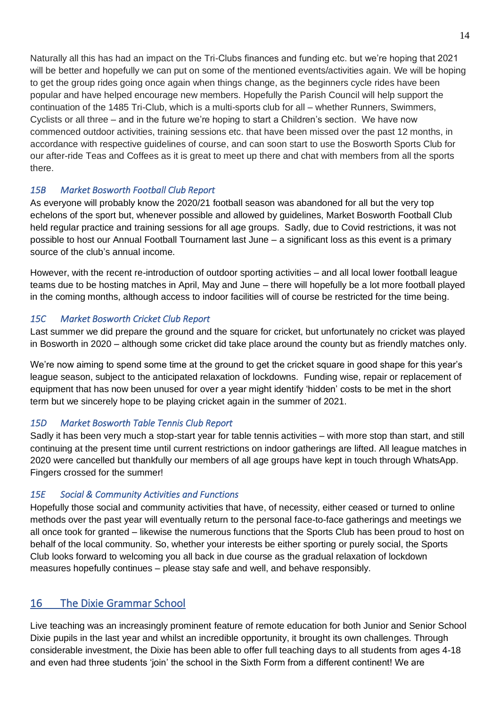Naturally all this has had an impact on the Tri-Clubs finances and funding etc. but we're hoping that 2021 will be better and hopefully we can put on some of the mentioned events/activities again. We will be hoping to get the group rides going once again when things change, as the beginners cycle rides have been popular and have helped encourage new members. Hopefully the Parish Council will help support the continuation of the 1485 Tri-Club, which is a multi-sports club for all – whether Runners, Swimmers, Cyclists or all three – and in the future we're hoping to start a Children's section. We have now commenced outdoor activities, training sessions etc. that have been missed over the past 12 months, in accordance with respective guidelines of course, and can soon start to use the Bosworth Sports Club for our after-ride Teas and Coffees as it is great to meet up there and chat with members from all the sports there.

#### *15B Market Bosworth Football Club Report*

As everyone will probably know the 2020/21 football season was abandoned for all but the very top echelons of the sport but, whenever possible and allowed by guidelines, Market Bosworth Football Club held regular practice and training sessions for all age groups. Sadly, due to Covid restrictions, it was not possible to host our Annual Football Tournament last June – a significant loss as this event is a primary source of the club's annual income.

However, with the recent re-introduction of outdoor sporting activities – and all local lower football league teams due to be hosting matches in April, May and June – there will hopefully be a lot more football played in the coming months, although access to indoor facilities will of course be restricted for the time being.

#### *15C Market Bosworth Cricket Club Report*

Last summer we did prepare the ground and the square for cricket, but unfortunately no cricket was played in Bosworth in 2020 – although some cricket did take place around the county but as friendly matches only.

We're now aiming to spend some time at the ground to get the cricket square in good shape for this year's league season, subject to the anticipated relaxation of lockdowns. Funding wise, repair or replacement of equipment that has now been unused for over a year might identify 'hidden' costs to be met in the short term but we sincerely hope to be playing cricket again in the summer of 2021.

#### *15D Market Bosworth Table Tennis Club Report*

Sadly it has been very much a stop-start year for table tennis activities – with more stop than start, and still continuing at the present time until current restrictions on indoor gatherings are lifted. All league matches in 2020 were cancelled but thankfully our members of all age groups have kept in touch through WhatsApp. Fingers crossed for the summer!

#### *15E Social & Community Activities and Functions*

Hopefully those social and community activities that have, of necessity, either ceased or turned to online methods over the past year will eventually return to the personal face-to-face gatherings and meetings we all once took for granted – likewise the numerous functions that the Sports Club has been proud to host on behalf of the local community. So, whether your interests be either sporting or purely social, the Sports Club looks forward to welcoming you all back in due course as the gradual relaxation of lockdown measures hopefully continues – please stay safe and well, and behave responsibly.

## 16 The Dixie Grammar School

Live teaching was an increasingly prominent feature of remote education for both Junior and Senior School Dixie pupils in the last year and whilst an incredible opportunity, it brought its own challenges. Through considerable investment, the Dixie has been able to offer full teaching days to all students from ages 4-18 and even had three students 'join' the school in the Sixth Form from a different continent! We are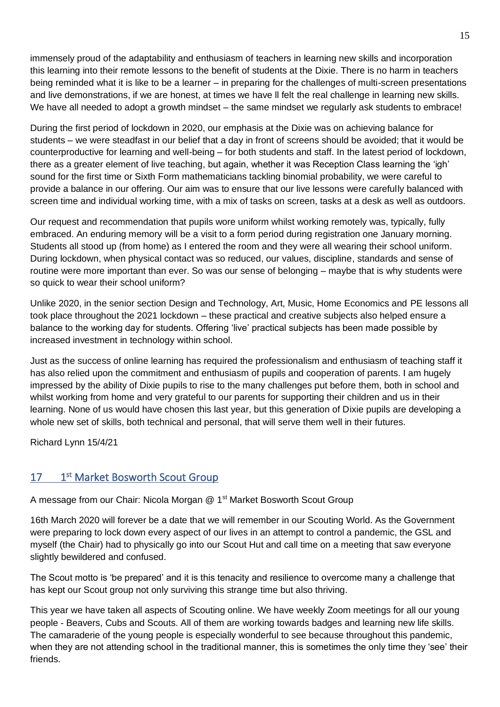immensely proud of the adaptability and enthusiasm of teachers in learning new skills and incorporation this learning into their remote lessons to the benefit of students at the Dixie. There is no harm in teachers being reminded what it is like to be a learner – in preparing for the challenges of multi-screen presentations and live demonstrations, if we are honest, at times we have ll felt the real challenge in learning new skills. We have all needed to adopt a growth mindset – the same mindset we regularly ask students to embrace!

During the first period of lockdown in 2020, our emphasis at the Dixie was on achieving balance for students – we were steadfast in our belief that a day in front of screens should be avoided; that it would be counterproductive for learning and well-being – for both students and staff. In the latest period of lockdown, there as a greater element of live teaching, but again, whether it was Reception Class learning the 'igh' sound for the first time or Sixth Form mathematicians tackling binomial probability, we were careful to provide a balance in our offering. Our aim was to ensure that our live lessons were carefully balanced with screen time and individual working time, with a mix of tasks on screen, tasks at a desk as well as outdoors.

Our request and recommendation that pupils wore uniform whilst working remotely was, typically, fully embraced. An enduring memory will be a visit to a form period during registration one January morning. Students all stood up (from home) as I entered the room and they were all wearing their school uniform. During lockdown, when physical contact was so reduced, our values, discipline, standards and sense of routine were more important than ever. So was our sense of belonging – maybe that is why students were so quick to wear their school uniform?

Unlike 2020, in the senior section Design and Technology, Art, Music, Home Economics and PE lessons all took place throughout the 2021 lockdown – these practical and creative subjects also helped ensure a balance to the working day for students. Offering 'live' practical subjects has been made possible by increased investment in technology within school.

Just as the success of online learning has required the professionalism and enthusiasm of teaching staff it has also relied upon the commitment and enthusiasm of pupils and cooperation of parents. I am hugely impressed by the ability of Dixie pupils to rise to the many challenges put before them, both in school and whilst working from home and very grateful to our parents for supporting their children and us in their learning. None of us would have chosen this last year, but this generation of Dixie pupils are developing a whole new set of skills, both technical and personal, that will serve them well in their futures.

Richard Lynn 15/4/21

#### 17 st Market Bosworth Scout Group

A message from our Chair: Nicola Morgan @ 1<sup>st</sup> Market Bosworth Scout Group

16th March 2020 will forever be a date that we will remember in our Scouting World. As the Government were preparing to lock down every aspect of our lives in an attempt to control a pandemic, the GSL and myself (the Chair) had to physically go into our Scout Hut and call time on a meeting that saw everyone slightly bewildered and confused.

The Scout motto is 'be prepared' and it is this tenacity and resilience to overcome many a challenge that has kept our Scout group not only surviving this strange time but also thriving.

This year we have taken all aspects of Scouting online. We have weekly Zoom meetings for all our young people - Beavers, Cubs and Scouts. All of them are working towards badges and learning new life skills. The camaraderie of the young people is especially wonderful to see because throughout this pandemic, when they are not attending school in the traditional manner, this is sometimes the only time they 'see' their friends.